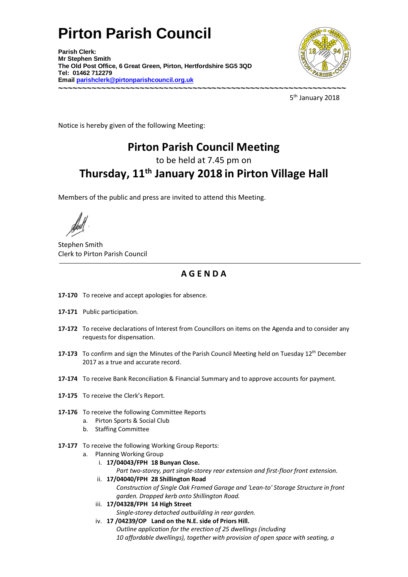## **Pirton Parish Council**

**Parish Clerk: Mr Stephen Smith The Old Post Office, 6 Great Green, Pirton, Hertfordshire SG5 3QD Tel: 01462 712279 Email parishclerk@pirtonparishcouncil.org.uk ~~~~~~~~~~~~~~~~~~~~~~~~~~~~~~~~~~~~~~~~~~~~~~~~~~~~~~~~~~~~** 



5<sup>th</sup> January 2018

Notice is hereby given of the following Meeting:

## Pirton Parish Council Meeting

to be held at 7.45 pm on

## Thursday, 11<sup>th</sup> January 2018 in Pirton Village Hall

Members of the public and press are invited to attend this Meeting.

Stephen Smith Clerk to Pirton Parish Council

## A G E N D A

- 17-170 To receive and accept apologies for absence.
- 17-171 Public participation.
- 17-172 To receive declarations of Interest from Councillors on items on the Agenda and to consider any requests for dispensation.
- 17-173 To confirm and sign the Minutes of the Parish Council Meeting held on Tuesday  $12<sup>th</sup>$  December 2017 as a true and accurate record.
- 17-174 To receive Bank Reconciliation & Financial Summary and to approve accounts for payment.
- 17-175 To receive the Clerk's Report.
- 17-176 To receive the following Committee Reports
	- a. Pirton Sports & Social Club
	- b. Staffing Committee
- 17-177 To receive the following Working Group Reports:
	- a. Planning Working Group
		- i. 17/04043/FPH 18 Bunyan Close. Part two-storey, part single-storey rear extension and first-floor front extension.
		- ii. 17/04040/FPH 28 Shillington Road *Construction of Single Oak Framed Garage and 'Leanto' Storage Structure in front garden. Dropped kerb onto Shillington Road.*
		- iii. 17/04328/FPH 14 High Street
			- *Singlestorey detached outbuilding in rear garden.*
		- iv. 17 /04239/OP Land on the N.E. side of Priors Hill. *Outline application for the erection of 25 dwellings (including 10 affordable dwellings), together with provision of open space with seating, a*